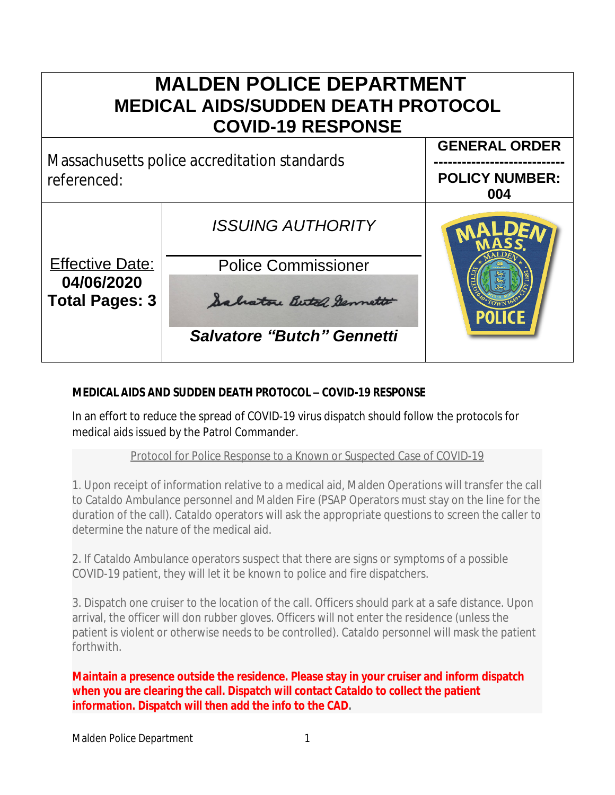# **MALDEN POLICE DEPARTMENT MEDICAL AIDS/SUDDEN DEATH PROTOCOL COVID-19 RESPONSE GENERAL ORDER** Massachusetts police accreditation standards **---------------------------** referenced: **POLICY NUMBER: 004** *ISSUING AUTHORITY* Effective Date: Police Commissioner **04/06/2020 Total Pages: 3** Salvatore Butel Sermette *Salvatore "Butch" Gennetti*

## **MEDICAL AIDS AND SUDDEN DEATH PROTOCOL – COVID-19 RESPONSE**

In an effort to reduce the spread of COVID-19 virus dispatch should follow the protocols for medical aids issued by the Patrol Commander.

### Protocol for Police Response to a Known or Suspected Case of COVID-19

1. Upon receipt of information relative to a medical aid, Malden Operations will transfer the call to Cataldo Ambulance personnel and Malden Fire (PSAP Operators must stay on the line for the duration of the call). Cataldo operators will ask the appropriate questions to screen the caller to determine the nature of the medical aid.

2. If Cataldo Ambulance operators suspect that there are signs or symptoms of a possible COVID-19 patient, they will let it be known to police and fire dispatchers.

3. Dispatch one cruiser to the location of the call. Officers should park at a safe distance. Upon arrival, the officer will don rubber gloves. Officers will not enter the residence (unless the patient is violent or otherwise needs to be controlled). Cataldo personnel will mask the patient forthwith.

**Maintain a presence outside the residence. Please stay in your cruiser and inform dispatch when you are clearing the call. Dispatch will contact Cataldo to collect the patient information. Dispatch will then add the info to the CAD.**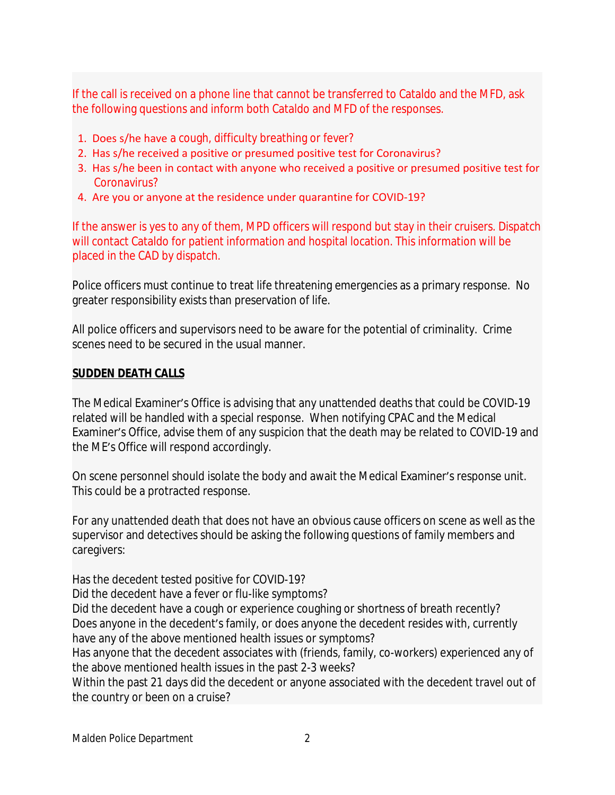If the call is received on a phone line that cannot be transferred to Cataldo and the MFD, ask the following questions and inform both Cataldo and MFD of the responses.

- 1. Does s/he have a cough, difficulty breathing or fever?
- 2. Has s/he received a positive or presumed positive test for Coronavirus?
- 3. Has s/he been in contact with anyone who received a positive or presumed positive test for Coronavirus?
- 4. Are you or anyone at the residence under quarantine for COVID-19?

If the answer is yes to any of them, MPD officers will respond but stay in their cruisers. Dispatch will contact Cataldo for patient information and hospital location. This information will be placed in the CAD by dispatch.

Police officers must continue to treat life threatening emergencies as a primary response. No greater responsibility exists than preservation of life.

All police officers and supervisors need to be aware for the potential of criminality. Crime scenes need to be secured in the usual manner.

#### **SUDDEN DEATH CALLS**

The Medical Examiner's Office is advising that any unattended deaths that could be COVID-19 related will be handled with a special response. When notifying CPAC and the Medical Examiner's Office, advise them of any suspicion that the death may be related to COVID-19 and the ME's Office will respond accordingly.

On scene personnel should isolate the body and await the Medical Examiner's response unit. This could be a protracted response.

For any unattended death that does not have an obvious cause officers on scene as well as the supervisor and detectives should be asking the following questions of family members and caregivers:

Has the decedent tested positive for COVID-19?

Did the decedent have a fever or flu-like symptoms?

Did the decedent have a cough or experience coughing or shortness of breath recently? Does anyone in the decedent's family, or does anyone the decedent resides with, currently have any of the above mentioned health issues or symptoms?

Has anyone that the decedent associates with (friends, family, co-workers) experienced any of the above mentioned health issues in the past 2-3 weeks?

Within the past 21 days did the decedent or anyone associated with the decedent travel out of the country or been on a cruise?